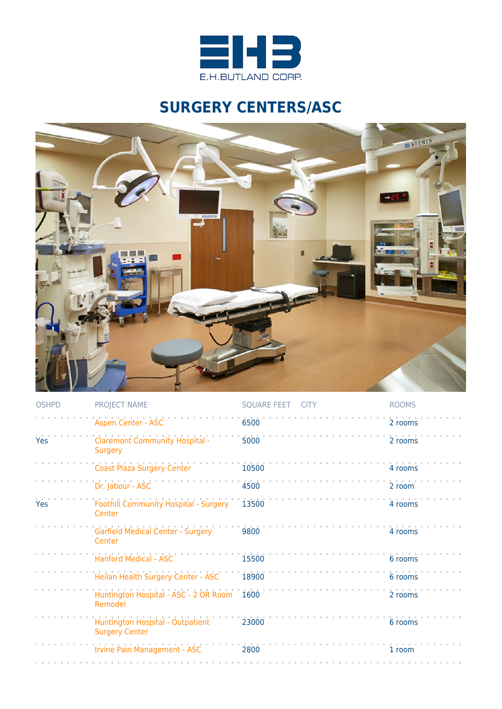

## **SURGERY CENTERS/ASC**



| <b>OSHPD</b> | PROJECT NAME                                              | SQUARE FEET CITY | <b>ROOMS</b> |
|--------------|-----------------------------------------------------------|------------------|--------------|
|              | <b>Aspen Center - ASC</b>                                 | 6500             | 2 rooms      |
| Yes          | <b>Claremont Community Hospital -</b><br>Surgery          | 5000             | 2 rooms      |
|              | <b>Coast Plaza Surgery Center</b>                         | 10500            | 4 rooms      |
|              | Dr. Jabour - ASC                                          | 4500             | 2 room       |
| Yes          | Foothill Community Hospital - Surgery<br>Center           | 13500            | 4 rooms      |
|              | Garfield Medical Center - Surgery<br>Center               | 9800             | 4 rooms      |
|              | <b>Hanford Medical - ASC</b>                              | 15500            | 6 rooms      |
|              | Heilan Health Surgery Center - ASC                        | 18900            | 6 rooms      |
|              | Huntington Hospital - ASC - 2 OR Room 1600<br>Remodel     |                  | 2 rooms      |
|              | Huntington Hospital - Outpatient<br><b>Surgery Center</b> | 23000            | 6 rooms      |
|              | Irvine Pain Management - ASC                              | 2800             | 1 room       |
|              |                                                           |                  |              |